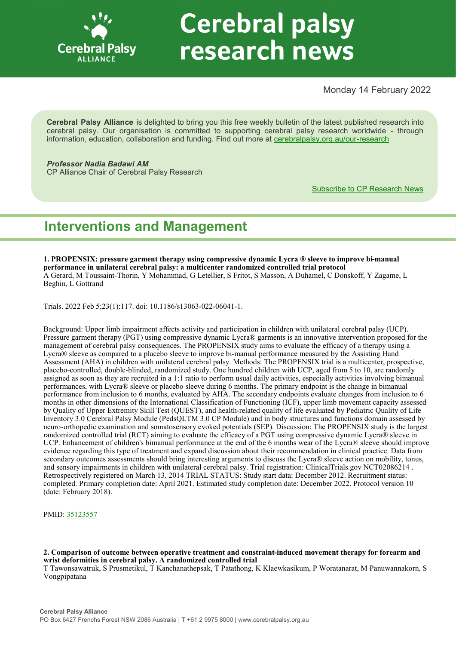

# **Cerebral palsy** research news

Monday 14 February 2022

**Cerebral Palsy Alliance** is delighted to bring you this free weekly bulletin of the latest published research into cerebral palsy. Our organisation is committed to supporting cerebral palsy research worldwide - through information, education, collaboration and funding. Find out more at [cerebralpalsy.org.au/our](https://cerebralpalsy.org.au/our-research/)-research

*Professor Nadia Badawi AM* CP Alliance Chair of Cerebral Palsy Research

[Subscribe to CP Research News](https://cerebralpalsy.org.au/our-research/get-involved-research/cp-research-newsletters/)

# **Interventions and Management**

**1. PROPENSIX: pressure garment therapy using compressive dynamic Lycra ® sleeve to improve bi-manual performance in unilateral cerebral palsy: a multicenter randomized controlled trial protocol** A Gerard, M Toussaint-Thorin, Y Mohammad, G Letellier, S Fritot, S Masson, A Duhamel, C Donskoff, Y Zagame, L Beghin, L Gottrand

Trials. 2022 Feb 5;23(1):117. doi: 10.1186/s13063-022-06041-1.

Background: Upper limb impairment affects activity and participation in children with unilateral cerebral palsy (UCP). Pressure garment therapy (PGT) using compressive dynamic Lycra® garments is an innovative intervention proposed for the management of cerebral palsy consequences. The PROPENSIX study aims to evaluate the efficacy of a therapy using a Lycra® sleeve as compared to a placebo sleeve to improve bi-manual performance measured by the Assisting Hand Assessment (AHA) in children with unilateral cerebral palsy. Methods: The PROPENSIX trial is a multicenter, prospective, placebo-controlled, double-blinded, randomized study. One hundred children with UCP, aged from 5 to 10, are randomly assigned as soon as they are recruited in a 1:1 ratio to perform usual daily activities, especially activities involving bimanual performances, with Lycra® sleeve or placebo sleeve during 6 months. The primary endpoint is the change in bimanual performance from inclusion to 6 months, evaluated by AHA. The secondary endpoints evaluate changes from inclusion to 6 months in other dimensions of the International Classification of Functioning (ICF), upper limb movement capacity assessed by Quality of Upper Extremity Skill Test (QUEST), and health-related quality of life evaluated by Pediatric Quality of Life Inventory 3.0 Cerebral Palsy Module (PedsQLTM 3.0 CP Module) and in body structures and functions domain assessed by neuro-orthopedic examination and somatosensory evoked potentials (SEP). Discussion: The PROPENSIX study is the largest randomized controlled trial (RCT) aiming to evaluate the efficacy of a PGT using compressive dynamic Lycra® sleeve in UCP. Enhancement of children's bimanual performance at the end of the 6 months wear of the Lycra® sleeve should improve evidence regarding this type of treatment and expand discussion about their recommendation in clinical practice. Data from secondary outcomes assessments should bring interesting arguments to discuss the Lycra® sleeve action on mobility, tonus, and sensory impairments in children with unilateral cerebral palsy. Trial registration: ClinicalTrials.gov NCT02086214 . Retrospectively registered on March 13, 2014 TRIAL STATUS: Study start data: December 2012. Recruitment status: completed. Primary completion date: April 2021. Estimated study completion date: December 2022. Protocol version 10 (date: February 2018).

PMID: [35123557](http://www.ncbi.nlm.nih.gov/pubmed/35123557)

**2. Comparison of outcome between operative treatment and constraint-induced movement therapy for forearm and wrist deformities in cerebral palsy. A randomized controlled trial**

T Tawonsawatruk, S Prusmetikul, T Kanchanathepsak, T Patathong, K Klaewkasikum, P Woratanarat, M Panuwannakorn, S Vongpipatana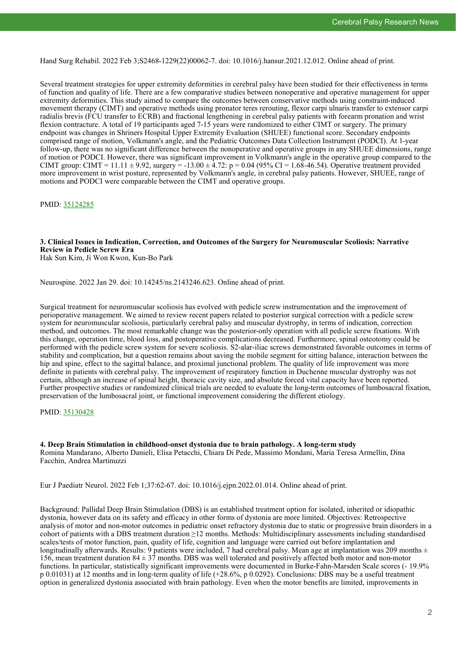Hand Surg Rehabil. 2022 Feb 3;S2468-1229(22)00062-7. doi: 10.1016/j.hansur.2021.12.012. Online ahead of print.

Several treatment strategies for upper extremity deformities in cerebral palsy have been studied for their effectiveness in terms of function and quality of life. There are a few comparative studies between nonoperative and operative management for upper extremity deformities. This study aimed to compare the outcomes between conservative methods using constraint-induced movement therapy (CIMT) and operative methods using pronator teres rerouting, flexor carpi ulnaris transfer to extensor carpi radialis brevis (FCU transfer to ECRB) and fractional lengthening in cerebral palsy patients with forearm pronation and wrist flexion contracture. A total of 19 participants aged 7-15 years were randomized to either CIMT or surgery. The primary endpoint was changes in Shriners Hospital Upper Extremity Evaluation (SHUEE) functional score. Secondary endpoints comprised range of motion, Volkmann's angle, and the Pediatric Outcomes Data Collection Instrument (PODCI). At 1-year follow-up, there was no significant difference between the nonoperative and operative groups in any SHUEE dimensions, range of motion or PODCI. However, there was significant improvement in Volkmann's angle in the operative group compared to the CIMT group: CIMT =  $11.11 \pm 9.92$ , surgery =  $-13.00 \pm 4.72$ : p = 0.04 (95% CI = 1.68-46.54). Operative treatment provided more improvement in wrist posture, represented by Volkmann's angle, in cerebral palsy patients. However, SHUEE, range of motions and PODCI were comparable between the CIMT and operative groups.

PMID: [35124285](http://www.ncbi.nlm.nih.gov/pubmed/35124285)

### **3. Clinical Issues in Indication, Correction, and Outcomes of the Surgery for Neuromuscular Scoliosis: Narrative Review in Pedicle Screw Era**

Hak Sun Kim, Ji Won Kwon, Kun-Bo Park

Neurospine. 2022 Jan 29. doi: 10.14245/ns.2143246.623. Online ahead of print.

Surgical treatment for neuromuscular scoliosis has evolved with pedicle screw instrumentation and the improvement of perioperative management. We aimed to review recent papers related to posterior surgical correction with a pedicle screw system for neuromuscular scoliosis, particularly cerebral palsy and muscular dystrophy, in terms of indication, correction method, and outcomes. The most remarkable change was the posterior-only operation with all pedicle screw fixations. With this change, operation time, blood loss, and postoperative complications decreased. Furthermore, spinal osteotomy could be performed with the pedicle screw system for severe scoliosis. S2-alar-iliac screws demonstrated favorable outcomes in terms of stability and complication, but a question remains about saving the mobile segment for sitting balance, interaction between the hip and spine, effect to the sagittal balance, and proximal junctional problem. The quality of life improvement was more definite in patients with cerebral palsy. The improvement of respiratory function in Duchenne muscular dystrophy was not certain, although an increase of spinal height, thoracic cavity size, and absolute forced vital capacity have been reported. Further prospective studies or randomized clinical trials are needed to evaluate the long-term outcomes of lumbosacral fixation, preservation of the lumbosacral joint, or functional improvement considering the different etiology.

PMID: [35130428](http://www.ncbi.nlm.nih.gov/pubmed/35130428)

**4. Deep Brain Stimulation in childhood-onset dystonia due to brain pathology. A long-term study** Romina Mandarano, Alberto Danieli, Elisa Petacchi, Chiara Di Pede, Massimo Mondani, Maria Teresa Armellin, Dina Facchin, Andrea Martinuzzi

Eur J Paediatr Neurol. 2022 Feb 1;37:62-67. doi: 10.1016/j.ejpn.2022.01.014. Online ahead of print.

Background: Pallidal Deep Brain Stimulation (DBS) is an established treatment option for isolated, inherited or idiopathic dystonia, however data on its safety and efficacy in other forms of dystonia are more limited. Objectives: Retrospective analysis of motor and non-motor outcomes in pediatric onset refractory dystonia due to static or progressive brain disorders in a cohort of patients with a DBS treatment duration ≥12 months. Methods: Multidisciplinary assessments including standardised scales/tests of motor function, pain, quality of life, cognition and language were carried out before implantation and longitudinally afterwards. Results: 9 patients were included, 7 had cerebral palsy. Mean age at implantation was 209 months  $\pm$ 156, mean treatment duration  $84 \pm 37$  months. DBS was well tolerated and positively affected both motor and non-motor functions. In particular, statistically significant improvements were documented in Burke-Fahn-Marsden Scale scores (- 19.9% p 0.01031) at 12 months and in long-term quality of life (+28.6%, p 0.0292). Conclusions: DBS may be a useful treatment option in generalized dystonia associated with brain pathology. Even when the motor benefits are limited, improvements in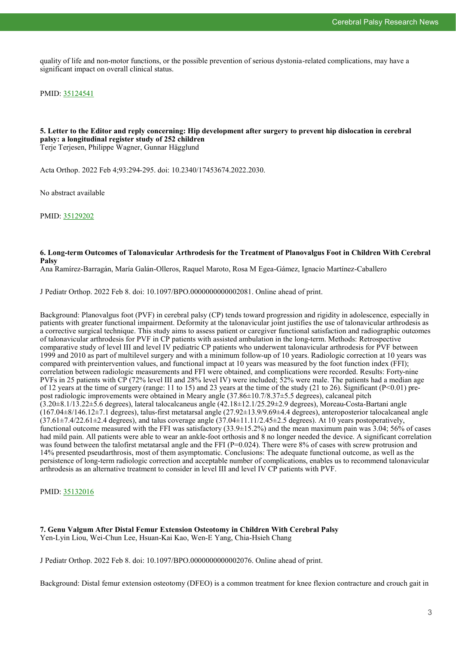quality of life and non-motor functions, or the possible prevention of serious dystonia-related complications, may have a significant impact on overall clinical status.

PMID: [35124541](http://www.ncbi.nlm.nih.gov/pubmed/35124541)

#### **5. Letter to the Editor and reply concerning: Hip development after surgery to prevent hip dislocation in cerebral palsy: a longitudinal register study of 252 children** Terje Terjesen, Philippe Wagner, Gunnar Hägglund

Acta Orthop. 2022 Feb 4;93:294-295. doi: 10.2340/17453674.2022.2030.

No abstract available

PMID: [35129202](http://www.ncbi.nlm.nih.gov/pubmed/35129202)

#### **6. Long-term Outcomes of Talonavicular Arthrodesis for the Treatment of Planovalgus Foot in Children With Cerebral Palsy**

Ana Ramírez-Barragán, María Galán-Olleros, Raquel Maroto, Rosa M Egea-Gámez, Ignacio Martínez-Caballero

J Pediatr Orthop. 2022 Feb 8. doi: 10.1097/BPO.0000000000002081. Online ahead of print.

Background: Planovalgus foot (PVF) in cerebral palsy (CP) tends toward progression and rigidity in adolescence, especially in patients with greater functional impairment. Deformity at the talonavicular joint justifies the use of talonavicular arthrodesis as a corrective surgical technique. This study aims to assess patient or caregiver functional satisfaction and radiographic outcomes of talonavicular arthrodesis for PVF in CP patients with assisted ambulation in the long-term. Methods: Retrospective comparative study of level III and level IV pediatric CP patients who underwent talonavicular arthrodesis for PVF between 1999 and 2010 as part of multilevel surgery and with a minimum follow-up of 10 years. Radiologic correction at 10 years was compared with preintervention values, and functional impact at 10 years was measured by the foot function index (FFI); correlation between radiologic measurements and FFI were obtained, and complications were recorded. Results: Forty-nine PVFs in 25 patients with CP (72% level III and 28% level IV) were included; 52% were male. The patients had a median age of 12 years at the time of surgery (range: 11 to 15) and 23 years at the time of the study (21 to 26). Significant (P<0.01) prepost radiologic improvements were obtained in Meary angle (37.86±10.7/8.37±5.5 degrees), calcaneal pitch (3.20±8.1/13.22±5.6 degrees), lateral talocalcaneus angle (42.18±12.1/25.29±2.9 degrees), Moreau-Costa-Bartani angle (167.04±8/146.12±7.1 degrees), talus-first metatarsal angle (27.92±13.9/9.69±4.4 degrees), anteroposterior talocalcaneal angle  $(37.61\pm7.4/22.61\pm2.4$  degrees), and talus coverage angle  $(37.04\pm11.11/2.45\pm2.5$  degrees). At 10 years postoperatively, functional outcome measured with the FFI was satisfactory (33.9±15.2%) and the mean maximum pain was 3.04; 56% of cases had mild pain. All patients were able to wear an ankle-foot orthosis and 8 no longer needed the device. A significant correlation was found between the talofirst metatarsal angle and the FFI ( $P=0.024$ ). There were 8% of cases with screw protrusion and 14% presented pseudarthrosis, most of them asymptomatic. Conclusions: The adequate functional outcome, as well as the persistence of long-term radiologic correction and acceptable number of complications, enables us to recommend talonavicular arthrodesis as an alternative treatment to consider in level III and level IV CP patients with PVF.

PMID: [35132016](http://www.ncbi.nlm.nih.gov/pubmed/35132016)

**7. Genu Valgum After Distal Femur Extension Osteotomy in Children With Cerebral Palsy** Yen-Lyin Liou, Wei-Chun Lee, Hsuan-Kai Kao, Wen-E Yang, Chia-Hsieh Chang

J Pediatr Orthop. 2022 Feb 8. doi: 10.1097/BPO.0000000000002076. Online ahead of print.

Background: Distal femur extension osteotomy (DFEO) is a common treatment for knee flexion contracture and crouch gait in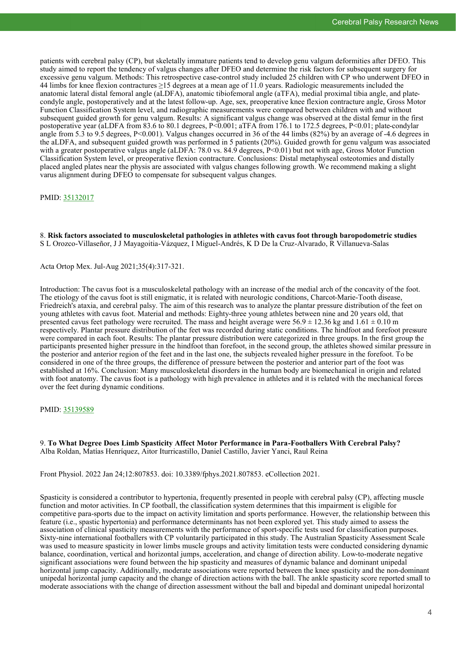patients with cerebral palsy (CP), but skeletally immature patients tend to develop genu valgum deformities after DFEO. This study aimed to report the tendency of valgus changes after DFEO and determine the risk factors for subsequent surgery for excessive genu valgum. Methods: This retrospective case-control study included 25 children with CP who underwent DFEO in 44 limbs for knee flexion contractures ≥15 degrees at a mean age of 11.0 years. Radiologic measurements included the anatomic lateral distal femoral angle (aLDFA), anatomic tibiofemoral angle (aTFA), medial proximal tibia angle, and platecondyle angle, postoperatively and at the latest follow-up. Age, sex, preoperative knee flexion contracture angle, Gross Motor Function Classification System level, and radiographic measurements were compared between children with and without subsequent guided growth for genu valgum. Results: A significant valgus change was observed at the distal femur in the first postoperative year (aLDFA from 83.6 to 80.1 degrees, P<0.001; aTFA from 176.1 to 172.5 degrees, P<0.01; plate-condylar angle from 5.3 to 9.5 degrees, P<0.001). Valgus changes occurred in 36 of the 44 limbs (82%) by an average of -4.6 degrees in the aLDFA, and subsequent guided growth was performed in 5 patients (20%). Guided growth for genu valgum was associated with a greater postoperative valgus angle (aLDFA: 78.0 vs. 84.9 degrees,  $P<0.01$ ) but not with age, Gross Motor Function Classification System level, or preoperative flexion contracture. Conclusions: Distal metaphyseal osteotomies and distally placed angled plates near the physis are associated with valgus changes following growth. We recommend making a slight varus alignment during DFEO to compensate for subsequent valgus changes.

#### PMID: [35132017](http://www.ncbi.nlm.nih.gov/pubmed/35132017)

8. **Risk factors associated to musculoskeletal pathologies in athletes with cavus foot through baropodometric studies** S L Orozco-Villaseñor, J J Mayagoitia-Vázquez, I Miguel-Andrés, K D De la Cruz-Alvarado, R Villanueva-Salas

Acta Ortop Mex. Jul-Aug 2021;35(4):317-321.

Introduction: The cavus foot is a musculoskeletal pathology with an increase of the medial arch of the concavity of the foot. The etiology of the cavus foot is still enigmatic, it is related with neurologic conditions, Charcot-Marie-Tooth disease, Friedreich's ataxia, and cerebral palsy. The aim of this research was to analyze the plantar pressure distribution of the feet on young athletes with cavus foot. Material and methods: Eighty-three young athletes between nine and 20 years old, that presented cavus feet pathology were recruited. The mass and height average were  $56.9 \pm 12.36$  kg and  $1.61 \pm 0.10$  m respectively. Plantar pressure distribution of the feet was recorded during static conditions. The hindfoot and forefoot pressure were compared in each foot. Results: The plantar pressure distribution were categorized in three groups. In the first group the participants presented higher pressure in the hindfoot than forefoot, in the second group, the athletes showed similar pressure in the posterior and anterior region of the feet and in the last one, the subjects revealed higher pressure in the forefoot. To be considered in one of the three groups, the difference of pressure between the posterior and anterior part of the foot was established at 16%. Conclusion: Many musculoskeletal disorders in the human body are biomechanical in origin and related with foot anatomy. The cavus foot is a pathology with high prevalence in athletes and it is related with the mechanical forces over the feet during dynamic conditions.

#### PMID: [35139589](http://www.ncbi.nlm.nih.gov/pubmed/35139589)

9. **To What Degree Does Limb Spasticity Affect Motor Performance in Para-Footballers With Cerebral Palsy?** Alba Roldan, Matías Henríquez, Aitor Iturricastillo, Daniel Castillo, Javier Yanci, Raul Reina

Front Physiol. 2022 Jan 24;12:807853. doi: 10.3389/fphys.2021.807853. eCollection 2021.

Spasticity is considered a contributor to hypertonia, frequently presented in people with cerebral palsy (CP), affecting muscle function and motor activities. In CP football, the classification system determines that this impairment is eligible for competitive para-sports due to the impact on activity limitation and sports performance. However, the relationship between this feature (i.e., spastic hypertonia) and performance determinants has not been explored yet. This study aimed to assess the association of clinical spasticity measurements with the performance of sport-specific tests used for classification purposes. Sixty-nine international footballers with CP voluntarily participated in this study. The Australian Spasticity Assessment Scale was used to measure spasticity in lower limbs muscle groups and activity limitation tests were conducted considering dynamic balance, coordination, vertical and horizontal jumps, acceleration, and change of direction ability. Low-to-moderate negative significant associations were found between the hip spasticity and measures of dynamic balance and dominant unipedal horizontal jump capacity. Additionally, moderate associations were reported between the knee spasticity and the non-dominant unipedal horizontal jump capacity and the change of direction actions with the ball. The ankle spasticity score reported small to moderate associations with the change of direction assessment without the ball and bipedal and dominant unipedal horizontal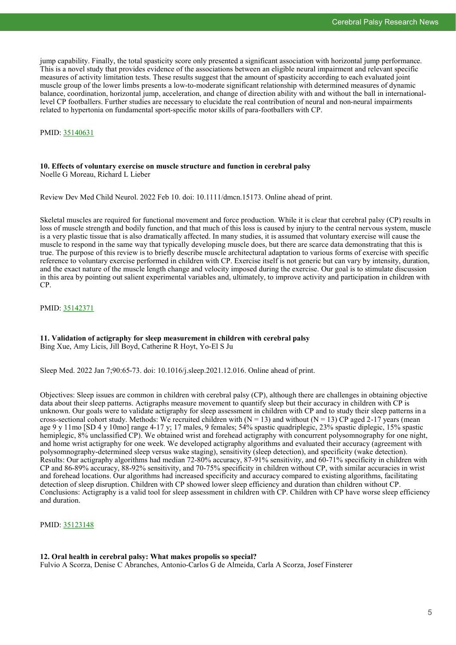jump capability. Finally, the total spasticity score only presented a significant association with horizontal jump performance. This is a novel study that provides evidence of the associations between an eligible neural impairment and relevant specific measures of activity limitation tests. These results suggest that the amount of spasticity according to each evaluated joint muscle group of the lower limbs presents a low-to-moderate significant relationship with determined measures of dynamic balance, coordination, horizontal jump, acceleration, and change of direction ability with and without the ball in internationallevel CP footballers. Further studies are necessary to elucidate the real contribution of neural and non-neural impairments related to hypertonia on fundamental sport-specific motor skills of para-footballers with CP.

PMID: [35140631](http://www.ncbi.nlm.nih.gov/pubmed/35140631)

# **10. Effects of voluntary exercise on muscle structure and function in cerebral palsy**

Noelle G Moreau, Richard L Lieber

Review Dev Med Child Neurol. 2022 Feb 10. doi: 10.1111/dmcn.15173. Online ahead of print.

Skeletal muscles are required for functional movement and force production. While it is clear that cerebral palsy (CP) results in loss of muscle strength and bodily function, and that much of this loss is caused by injury to the central nervous system, muscle is a very plastic tissue that is also dramatically affected. In many studies, it is assumed that voluntary exercise will cause the muscle to respond in the same way that typically developing muscle does, but there are scarce data demonstrating that this is true. The purpose of this review is to briefly describe muscle architectural adaptation to various forms of exercise with specific reference to voluntary exercise performed in children with CP. Exercise itself is not generic but can vary by intensity, duration, and the exact nature of the muscle length change and velocity imposed during the exercise. Our goal is to stimulate discussion in this area by pointing out salient experimental variables and, ultimately, to improve activity and participation in children with CP.

PMID: [35142371](http://www.ncbi.nlm.nih.gov/pubmed/35142371)

#### **11. Validation of actigraphy for sleep measurement in children with cerebral palsy** Bing Xue, Amy Licis, Jill Boyd, Catherine R Hoyt, Yo-El S Ju

Sleep Med. 2022 Jan 7;90:65-73. doi: 10.1016/j.sleep.2021.12.016. Online ahead of print.

Objectives: Sleep issues are common in children with cerebral palsy (CP), although there are challenges in obtaining objective data about their sleep patterns. Actigraphs measure movement to quantify sleep but their accuracy in children with CP is unknown. Our goals were to validate actigraphy for sleep assessment in children with CP and to study their sleep patterns in a cross-sectional cohort study. Methods: We recruited children with  $(N = 13)$  and without  $(N = 13)$  CP aged 2-17 years (mean age 9 y 11mo [SD 4 y 10mo] range 4-17 y; 17 males, 9 females; 54% spastic quadriplegic, 23% spastic diplegic, 15% spastic hemiplegic, 8% unclassified CP). We obtained wrist and forehead actigraphy with concurrent polysomnography for one night, and home wrist actigraphy for one week. We developed actigraphy algorithms and evaluated their accuracy (agreement with polysomnography-determined sleep versus wake staging), sensitivity (sleep detection), and specificity (wake detection). Results: Our actigraphy algorithms had median 72-80% accuracy, 87-91% sensitivity, and 60-71% specificity in children with CP and 86-89% accuracy, 88-92% sensitivity, and 70-75% specificity in children without CP, with similar accuracies in wrist and forehead locations. Our algorithms had increased specificity and accuracy compared to existing algorithms, facilitating detection of sleep disruption. Children with CP showed lower sleep efficiency and duration than children without CP. Conclusions: Actigraphy is a valid tool for sleep assessment in children with CP. Children with CP have worse sleep efficiency and duration.

PMID: [35123148](http://www.ncbi.nlm.nih.gov/pubmed/35123148)

## **12. Oral health in cerebral palsy: What makes propolis so special?**

Fulvio A Scorza, Denise C Abranches, Antonio-Carlos G de Almeida, Carla A Scorza, Josef Finsterer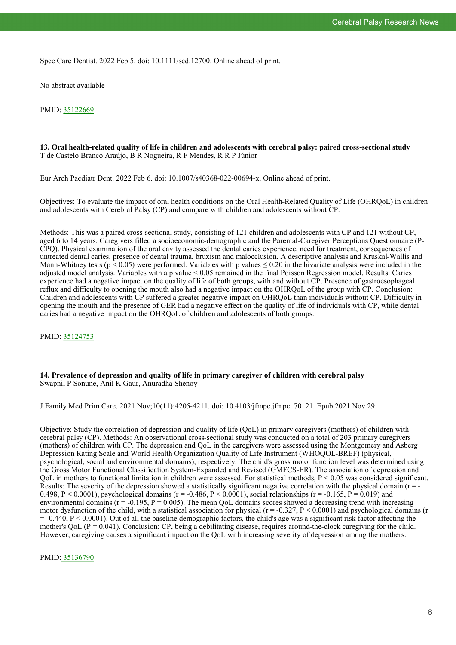Spec Care Dentist. 2022 Feb 5. doi: 10.1111/scd.12700. Online ahead of print.

No abstract available

PMID: [35122669](http://www.ncbi.nlm.nih.gov/pubmed/35122669)

#### **13. Oral health-related quality of life in children and adolescents with cerebral palsy: paired cross-sectional study** T de Castelo Branco Araújo, B R Nogueira, R F Mendes, R R P Júnior

Eur Arch Paediatr Dent. 2022 Feb 6. doi: 10.1007/s40368-022-00694-x. Online ahead of print.

Objectives: To evaluate the impact of oral health conditions on the Oral Health-Related Quality of Life (OHRQoL) in children and adolescents with Cerebral Palsy (CP) and compare with children and adolescents without CP.

Methods: This was a paired cross-sectional study, consisting of 121 children and adolescents with CP and 121 without CP, aged 6 to 14 years. Caregivers filled a socioeconomic-demographic and the Parental-Caregiver Perceptions Questionnaire (P-CPQ). Physical examination of the oral cavity assessed the dental caries experience, need for treatment, consequences of untreated dental caries, presence of dental trauma, bruxism and malocclusion. A descriptive analysis and Kruskal-Wallis and Mann-Whitney tests ( $p < 0.05$ ) were performed. Variables with p values  $\le 0.20$  in the bivariate analysis were included in the adjusted model analysis. Variables with a p value < 0.05 remained in the final Poisson Regression model. Results: Caries experience had a negative impact on the quality of life of both groups, with and without CP. Presence of gastroesophageal reflux and difficulty to opening the mouth also had a negative impact on the OHRQoL of the group with CP. Conclusion: Children and adolescents with CP suffered a greater negative impact on OHRQoL than individuals without CP. Difficulty in opening the mouth and the presence of GER had a negative effect on the quality of life of individuals with CP, while dental caries had a negative impact on the OHRQoL of children and adolescents of both groups.

PMID: [35124753](http://www.ncbi.nlm.nih.gov/pubmed/35124753)

#### **14. Prevalence of depression and quality of life in primary caregiver of children with cerebral palsy** Swapnil P Sonune, Anil K Gaur, Anuradha Shenoy

J Family Med Prim Care. 2021 Nov;10(11):4205-4211. doi: 10.4103/jfmpc.jfmpc\_70\_21. Epub 2021 Nov 29.

Objective: Study the correlation of depression and quality of life (QoL) in primary caregivers (mothers) of children with cerebral palsy (CP). Methods: An observational cross-sectional study was conducted on a total of 203 primary caregivers (mothers) of children with CP. The depression and QoL in the caregivers were assessed using the Montgomery and Asberg Depression Rating Scale and World Health Organization Quality of Life Instrument (WHOQOL-BREF) (physical, psychological, social and environmental domains), respectively. The child's gross motor function level was determined using the Gross Motor Functional Classification System-Expanded and Revised (GMFCS-ER). The association of depression and QoL in mothers to functional limitation in children were assessed. For statistical methods, P < 0.05 was considered significant. Results: The severity of the depression showed a statistically significant negative correlation with the physical domain ( $r = -$ 0.498, P < 0.0001), psychological domains ( $r = -0.486$ , P < 0.0001), social relationships ( $r = -0.165$ , P = 0.019) and environmental domains  $(r = -0.195, P = 0.005)$ . The mean QoL domains scores showed a decreasing trend with increasing motor dysfunction of the child, with a statistical association for physical ( $r = -0.327$ ,  $P \le 0.0001$ ) and psychological domains (r  $= -0.440$ ,  $P \le 0.0001$ ). Out of all the baseline demographic factors, the child's age was a significant risk factor affecting the mother's QoL ( $P = 0.041$ ). Conclusion: CP, being a debilitating disease, requires around-the-clock caregiving for the child. However, caregiving causes a significant impact on the QoL with increasing severity of depression among the mothers.

PMID: [35136790](http://www.ncbi.nlm.nih.gov/pubmed/35136790)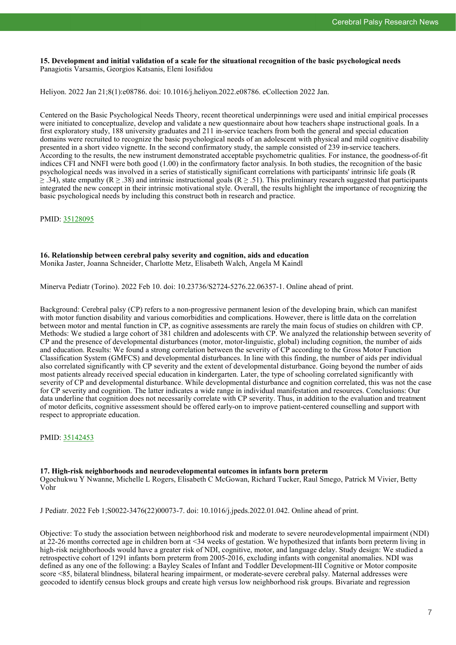**15. Development and initial validation of a scale for the situational recognition of the basic psychological needs** Panagiotis Varsamis, Georgios Katsanis, Eleni Iosifidou

Heliyon. 2022 Jan 21;8(1):e08786. doi: 10.1016/j.heliyon.2022.e08786. eCollection 2022 Jan.

Centered on the Basic Psychological Needs Theory, recent theoretical underpinnings were used and initial empirical processes were initiated to conceptualize, develop and validate a new questionnaire about how teachers shape instructional goals. In a first exploratory study, 188 university graduates and 211 in-service teachers from both the general and special education domains were recruited to recognize the basic psychological needs of an adolescent with physical and mild cognitive disability presented in a short video vignette. In the second confirmatory study, the sample consisted of 239 in-service teachers. According to the results, the new instrument demonstrated acceptable psychometric qualities. For instance, the goodness-of-fit indices CFI and NNFI were both good (1.00) in the confirmatory factor analysis. In both studies, the recognition of the basic psychological needs was involved in a series of statistically significant correlations with participants' intrinsic life goals (R  $\geq$  .34), state empathy (R ≥ .38) and intrinsic instructional goals (R ≥ .51). This preliminary research suggested that participants integrated the new concept in their intrinsic motivational style. Overall, the results highlight the importance of recognizing the basic psychological needs by including this construct both in research and practice.

PMID: [35128095](http://www.ncbi.nlm.nih.gov/pubmed/35128095)

#### **16. Relationship between cerebral palsy severity and cognition, aids and education** Monika Jaster, Joanna Schneider, Charlotte Metz, Elisabeth Walch, Angela M Kaindl

Minerva Pediatr (Torino). 2022 Feb 10. doi: 10.23736/S2724-5276.22.06357-1. Online ahead of print.

Background: Cerebral palsy (CP) refers to a non-progressive permanent lesion of the developing brain, which can manifest with motor function disability and various comorbidities and complications. However, there is little data on the correlation between motor and mental function in CP, as cognitive assessments are rarely the main focus of studies on children with CP. Methods: We studied a large cohort of 381 children and adolescents with CP. We analyzed the relationship between severity of CP and the presence of developmental disturbances (motor, motor-linguistic, global) including cognition, the number of aids and education. Results: We found a strong correlation between the severity of CP according to the Gross Motor Function Classification System (GMFCS) and developmental disturbances. In line with this finding, the number of aids per individual also correlated significantly with CP severity and the extent of developmental disturbance. Going beyond the number of aids most patients already received special education in kindergarten. Later, the type of schooling correlated significantly with severity of CP and developmental disturbance. While developmental disturbance and cognition correlated, this was not the case for CP severity and cognition. The latter indicates a wide range in individual manifestation and resources. Conclusions: Our data underline that cognition does not necessarily correlate with CP severity. Thus, in addition to the evaluation and treatment of motor deficits, cognitive assessment should be offered early-on to improve patient-centered counselling and support with respect to appropriate education.

PMID: [35142453](http://www.ncbi.nlm.nih.gov/pubmed/35142453)

**17. High-risk neighborhoods and neurodevelopmental outcomes in infants born preterm** Ogochukwu Y Nwanne, Michelle L Rogers, Elisabeth C McGowan, Richard Tucker, Raul Smego, Patrick M Vivier, Betty Vohr

J Pediatr. 2022 Feb 1;S0022-3476(22)00073-7. doi: 10.1016/j.jpeds.2022.01.042. Online ahead of print.

Objective: To study the association between neighborhood risk and moderate to severe neurodevelopmental impairment (NDI) at 22-26 months corrected age in children born at <34 weeks of gestation. We hypothesized that infants born preterm living in high-risk neighborhoods would have a greater risk of NDI, cognitive, motor, and language delay. Study design: We studied a retrospective cohort of 1291 infants born preterm from 2005-2016, excluding infants with congenital anomalies. NDI was defined as any one of the following: a Bayley Scales of Infant and Toddler Development-III Cognitive or Motor composite score <85, bilateral blindness, bilateral hearing impairment, or moderate-severe cerebral palsy. Maternal addresses were geocoded to identify census block groups and create high versus low neighborhood risk groups. Bivariate and regression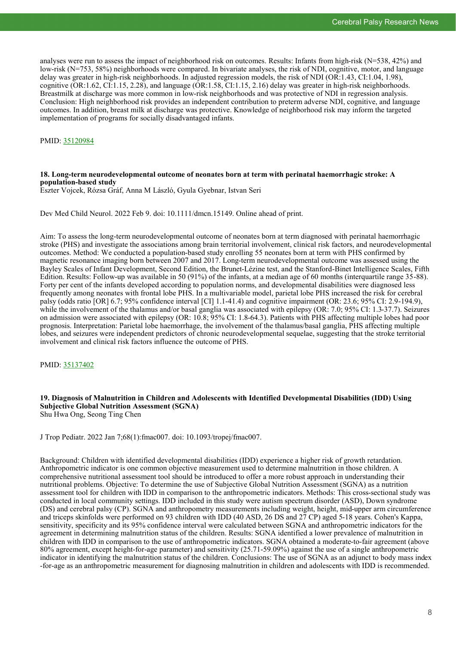analyses were run to assess the impact of neighborhood risk on outcomes. Results: Infants from high-risk (N=538, 42%) and low-risk (N=753, 58%) neighborhoods were compared. In bivariate analyses, the risk of NDI, cognitive, motor, and language delay was greater in high-risk neighborhoods. In adjusted regression models, the risk of NDI (OR:1.43, CI:1.04, 1.98), cognitive (OR:1.62, CI:1.15, 2.28), and language (OR:1.58, CI:1.15, 2.16) delay was greater in high-risk neighborhoods. Breastmilk at discharge was more common in low-risk neighborhoods and was protective of NDI in regression analysis. Conclusion: High neighborhood risk provides an independent contribution to preterm adverse NDI, cognitive, and language outcomes. In addition, breast milk at discharge was protective. Knowledge of neighborhood risk may inform the targeted implementation of programs for socially disadvantaged infants.

#### PMID: [35120984](http://www.ncbi.nlm.nih.gov/pubmed/35120984)

#### **18. Long-term neurodevelopmental outcome of neonates born at term with perinatal haemorrhagic stroke: A population-based study**

Eszter Vojcek, Rózsa Gráf, Anna M László, Gyula Gyebnar, Istvan Seri

Dev Med Child Neurol. 2022 Feb 9. doi: 10.1111/dmcn.15149. Online ahead of print.

Aim: To assess the long-term neurodevelopmental outcome of neonates born at term diagnosed with perinatal haemorrhagic stroke (PHS) and investigate the associations among brain territorial involvement, clinical risk factors, and neurodevelopmental outcomes. Method: We conducted a population-based study enrolling 55 neonates born at term with PHS confirmed by magnetic resonance imaging born between 2007 and 2017. Long-term neurodevelopmental outcome was assessed using the Bayley Scales of Infant Development, Second Edition, the Brunet-Lézine test, and the Stanford-Binet Intelligence Scales, Fifth Edition. Results: Follow-up was available in 50 (91%) of the infants, at a median age of 60 months (interquartile range 35-88). Forty per cent of the infants developed according to population norms, and developmental disabilities were diagnosed less frequently among neonates with frontal lobe PHS. In a multivariable model, parietal lobe PHS increased the risk for cerebral palsy (odds ratio [OR] 6.7; 95% confidence interval [CI] 1.1-41.4) and cognitive impairment (OR: 23.6; 95% CI: 2.9-194.9), while the involvement of the thalamus and/or basal ganglia was associated with epilepsy (OR: 7.0; 95% CI: 1.3-37.7). Seizures on admission were associated with epilepsy (OR: 10.8; 95% CI: 1.8-64.3). Patients with PHS affecting multiple lobes had poor prognosis. Interpretation: Parietal lobe haemorrhage, the involvement of the thalamus/basal ganglia, PHS affecting multiple lobes, and seizures were independent predictors of chronic neurodevelopmental sequelae, suggesting that the stroke territorial involvement and clinical risk factors influence the outcome of PHS.

PMID: [35137402](http://www.ncbi.nlm.nih.gov/pubmed/35137402)

# **19. Diagnosis of Malnutrition in Children and Adolescents with Identified Developmental Disabilities (IDD) Using Subjective Global Nutrition Assessment (SGNA)**

Shu Hwa Ong, Seong Ting Chen

J Trop Pediatr. 2022 Jan 7;68(1):fmac007. doi: 10.1093/tropej/fmac007.

Background: Children with identified developmental disabilities (IDD) experience a higher risk of growth retardation. Anthropometric indicator is one common objective measurement used to determine malnutrition in those children. A comprehensive nutritional assessment tool should be introduced to offer a more robust approach in understanding their nutritional problems. Objective: To determine the use of Subjective Global Nutrition Assessment (SGNA) as a nutrition assessment tool for children with IDD in comparison to the anthropometric indicators. Methods: This cross-sectional study was conducted in local community settings. IDD included in this study were autism spectrum disorder (ASD), Down syndrome (DS) and cerebral palsy (CP). SGNA and anthropometry measurements including weight, height, mid-upper arm circumference and triceps skinfolds were performed on 93 children with IDD (40 ASD, 26 DS and 27 CP) aged 5-18 years. Cohen's Kappa, sensitivity, specificity and its 95% confidence interval were calculated between SGNA and anthropometric indicators for the agreement in determining malnutrition status of the children. Results: SGNA identified a lower prevalence of malnutrition in children with IDD in comparison to the use of anthropometric indicators. SGNA obtained a moderate-to-fair agreement (above 80% agreement, except height-for-age parameter) and sensitivity (25.71-59.09%) against the use of a single anthropometric indicator in identifying the malnutrition status of the children. Conclusions: The use of SGNA as an adjunct to body mass index -for-age as an anthropometric measurement for diagnosing malnutrition in children and adolescents with IDD is recommended.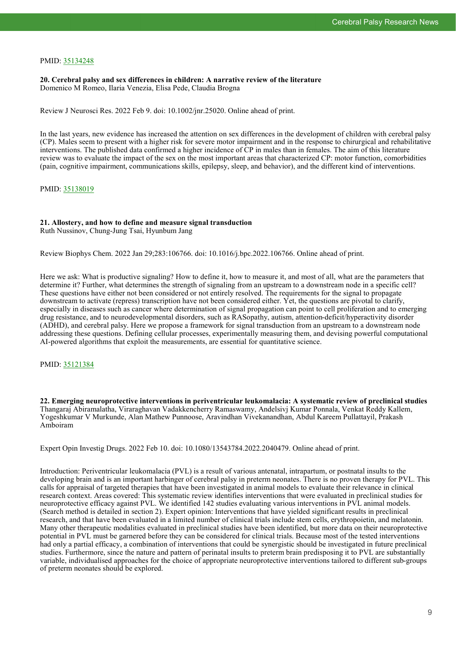#### PMID: [35134248](http://www.ncbi.nlm.nih.gov/pubmed/35134248)

**20. Cerebral palsy and sex differences in children: A narrative review of the literature** Domenico M Romeo, Ilaria Venezia, Elisa Pede, Claudia Brogna

Review J Neurosci Res. 2022 Feb 9. doi: 10.1002/jnr.25020. Online ahead of print.

In the last years, new evidence has increased the attention on sex differences in the development of children with cerebral palsy (CP). Males seem to present with a higher risk for severe motor impairment and in the response to chirurgical and rehabilitative interventions. The published data confirmed a higher incidence of CP in males than in females. The aim of this literature review was to evaluate the impact of the sex on the most important areas that characterized CP: motor function, comorbidities (pain, cognitive impairment, communications skills, epilepsy, sleep, and behavior), and the different kind of interventions.

PMID: [35138019](http://www.ncbi.nlm.nih.gov/pubmed/35138019)

#### **21. Allostery, and how to define and measure signal transduction**

Ruth Nussinov, Chung-Jung Tsai, Hyunbum Jang

Review Biophys Chem. 2022 Jan 29;283:106766. doi: 10.1016/j.bpc.2022.106766. Online ahead of print.

Here we ask: What is productive signaling? How to define it, how to measure it, and most of all, what are the parameters that determine it? Further, what determines the strength of signaling from an upstream to a downstream node in a specific cell? These questions have either not been considered or not entirely resolved. The requirements for the signal to propagate downstream to activate (repress) transcription have not been considered either. Yet, the questions are pivotal to clarify, especially in diseases such as cancer where determination of signal propagation can point to cell proliferation and to emerging drug resistance, and to neurodevelopmental disorders, such as RASopathy, autism, attention-deficit/hyperactivity disorder (ADHD), and cerebral palsy. Here we propose a framework for signal transduction from an upstream to a downstream node addressing these questions. Defining cellular processes, experimentally measuring them, and devising powerful computational AI-powered algorithms that exploit the measurements, are essential for quantitative science.

PMID: [35121384](http://www.ncbi.nlm.nih.gov/pubmed/35121384)

**22. Emerging neuroprotective interventions in periventricular leukomalacia: A systematic review of preclinical studies** Thangaraj Abiramalatha, Viraraghavan Vadakkencherry Ramaswamy, Andelsivj Kumar Ponnala, Venkat Reddy Kallem, Yogeshkumar V Murkunde, Alan Mathew Punnoose, Aravindhan Vivekanandhan, Abdul Kareem Pullattayil, Prakash Amboiram

Expert Opin Investig Drugs. 2022 Feb 10. doi: 10.1080/13543784.2022.2040479. Online ahead of print.

Introduction: Periventricular leukomalacia (PVL) is a result of various antenatal, intrapartum, or postnatal insults to the developing brain and is an important harbinger of cerebral palsy in preterm neonates. There is no proven therapy for PVL. This calls for appraisal of targeted therapies that have been investigated in animal models to evaluate their relevance in clinical research context. Areas covered: This systematic review identifies interventions that were evaluated in preclinical studies for neuroprotective efficacy against PVL. We identified 142 studies evaluating various interventions in PVL animal models. (Search method is detailed in section 2). Expert opinion: Interventions that have yielded significant results in preclinical research, and that have been evaluated in a limited number of clinical trials include stem cells, erythropoietin, and melatonin. Many other therapeutic modalities evaluated in preclinical studies have been identified, but more data on their neuroprotective potential in PVL must be garnered before they can be considered for clinical trials. Because most of the tested interventions had only a partial efficacy, a combination of interventions that could be synergistic should be investigated in future preclinical studies. Furthermore, since the nature and pattern of perinatal insults to preterm brain predisposing it to PVL are substantially variable, individualised approaches for the choice of appropriate neuroprotective interventions tailored to different sub-groups of preterm neonates should be explored.